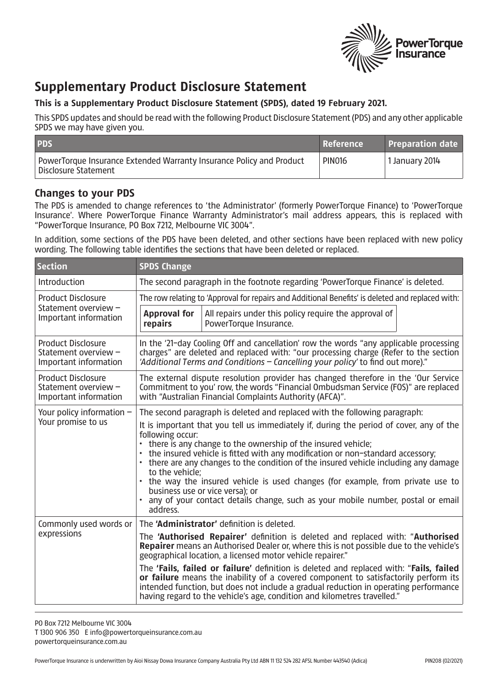

## **Supplementary Product Disclosure Statement**

## **This is a Supplementary Product Disclosure Statement (SPDS), dated 19 February 2021.**

This SPDS updates and should be read with the following Product Disclosure Statement (PDS) and any other applicable SPDS we may have given you.

| <b>PDS</b>                                                                                   | Reference     | <b>Preparation date</b>     |
|----------------------------------------------------------------------------------------------|---------------|-----------------------------|
| PowerTorque Insurance Extended Warranty Insurance Policy and Product<br>Disclosure Statement | <b>PIN016</b> | <sup>1</sup> 1 January 2014 |

## **Changes to your PDS**

The PDS is amended to change references to 'the Administrator' (formerly PowerTorque Finance) to 'PowerTorque Insurance'. Where PowerTorque Finance Warranty Administrator's mail address appears, this is replaced with "PowerTorque Insurance, PO Box 7212, Melbourne VIC 3004".

In addition, some sections of the PDS have been deleted, and other sections have been replaced with new policy wording. The following table identifies the sections that have been deleted or replaced.

| <b>Section</b>                                                             | <b>SPDS Change</b>                                                                                                                                                                                                                                                                                                                                                                                                                                                                                                                                                                                                                                                      |                                                                                 |  |
|----------------------------------------------------------------------------|-------------------------------------------------------------------------------------------------------------------------------------------------------------------------------------------------------------------------------------------------------------------------------------------------------------------------------------------------------------------------------------------------------------------------------------------------------------------------------------------------------------------------------------------------------------------------------------------------------------------------------------------------------------------------|---------------------------------------------------------------------------------|--|
| Introduction                                                               | The second paragraph in the footnote regarding 'PowerTorque Finance' is deleted.                                                                                                                                                                                                                                                                                                                                                                                                                                                                                                                                                                                        |                                                                                 |  |
| <b>Product Disclosure</b><br>Statement overview -<br>Important information | The row relating to 'Approval for repairs and Additional Benefits' is deleted and replaced with:                                                                                                                                                                                                                                                                                                                                                                                                                                                                                                                                                                        |                                                                                 |  |
|                                                                            | <b>Approval for</b><br>repairs                                                                                                                                                                                                                                                                                                                                                                                                                                                                                                                                                                                                                                          | All repairs under this policy require the approval of<br>PowerTorque Insurance. |  |
| <b>Product Disclosure</b><br>Statement overview -<br>Important information | In the '21-day Cooling Off and cancellation' row the words "any applicable processing<br>charges" are deleted and replaced with: "our processing charge (Refer to the section<br>'Additional Terms and Conditions – Cancelling your policy' to find out more)."                                                                                                                                                                                                                                                                                                                                                                                                         |                                                                                 |  |
| <b>Product Disclosure</b><br>Statement overview -<br>Important information | The external dispute resolution provider has changed therefore in the 'Our Service<br>Commitment to you' row, the words "Financial Ombudsman Service (FOS)" are replaced<br>with "Australian Financial Complaints Authority (AFCA)".                                                                                                                                                                                                                                                                                                                                                                                                                                    |                                                                                 |  |
| Your policy information $-$<br>Your promise to us                          | The second paragraph is deleted and replaced with the following paragraph:<br>It is important that you tell us immediately if, during the period of cover, any of the<br>following occur:<br>there is any change to the ownership of the insured vehicle;<br>the insured vehicle is fitted with any modification or non-standard accessory;<br>there are any changes to the condition of the insured vehicle including any damage<br>to the vehicle;<br>the way the insured vehicle is used changes (for example, from private use to<br>business use or vice versa); or<br>any of your contact details change, such as your mobile number, postal or email<br>address. |                                                                                 |  |
| Commonly used words or<br>expressions                                      | The 'Administrator' definition is deleted.                                                                                                                                                                                                                                                                                                                                                                                                                                                                                                                                                                                                                              |                                                                                 |  |
|                                                                            | The 'Authorised Repairer' definition is deleted and replaced with: "Authorised<br>Repairer means an Authorised Dealer or, where this is not possible due to the vehicle's<br>geographical location, a licensed motor vehicle repairer."                                                                                                                                                                                                                                                                                                                                                                                                                                 |                                                                                 |  |
|                                                                            | The 'Fails, failed or failure' definition is deleted and replaced with: "Fails, failed<br>or failure means the inability of a covered component to satisfactorily perform its<br>intended function, but does not include a gradual reduction in operating performance<br>having regard to the vehicle's age, condition and kilometres travelled."                                                                                                                                                                                                                                                                                                                       |                                                                                 |  |

PO Box 7212 Melbourne VIC 3004 T 1300 906 350 E info@powertorqueinsurance.com.au powertorqueinsurance.com.au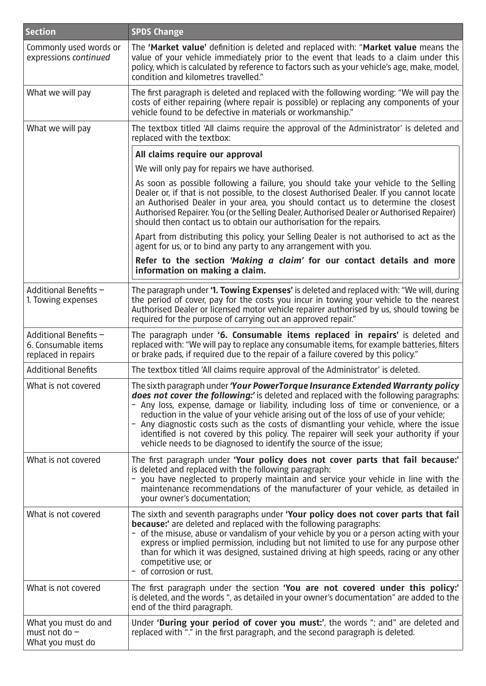| <b>Section</b>                                                      | <b>SPDS Change</b>                                                                                                                                                                                                                                                                                                                                                                                                                                                                                                                                                                                                   |
|---------------------------------------------------------------------|----------------------------------------------------------------------------------------------------------------------------------------------------------------------------------------------------------------------------------------------------------------------------------------------------------------------------------------------------------------------------------------------------------------------------------------------------------------------------------------------------------------------------------------------------------------------------------------------------------------------|
| Commonly used words or<br>expressions continued                     | The 'Market value' definition is deleted and replaced with: "Market value means the<br>value of your vehicle immediately prior to the event that leads to a claim under this<br>policy, which is calculated by reference to factors such as your vehicle's age, make, model,<br>condition and kilometres travelled."                                                                                                                                                                                                                                                                                                 |
| What we will pay                                                    | The first paragraph is deleted and replaced with the following wording: "We will pay the<br>costs of either repairing (where repair is possible) or replacing any components of your<br>vehicle found to be defective in materials or workmanship."                                                                                                                                                                                                                                                                                                                                                                  |
| What we will pay                                                    | The textbox titled 'All claims require the approval of the Administrator' is deleted and<br>replaced with the textbox:                                                                                                                                                                                                                                                                                                                                                                                                                                                                                               |
|                                                                     | All claims require our approval                                                                                                                                                                                                                                                                                                                                                                                                                                                                                                                                                                                      |
|                                                                     | We will only pay for repairs we have authorised.                                                                                                                                                                                                                                                                                                                                                                                                                                                                                                                                                                     |
|                                                                     | As soon as possible following a failure, you should take your vehicle to the Selling<br>Dealer or, if that is not possible, to the closest Authorised Dealer. If you cannot locate<br>an Authorised Dealer in your area, you should contact us to determine the closest<br>Authorised Repairer. You (or the Selling Dealer, Authorised Dealer or Authorised Repairer)<br>should then contact us to obtain our authorisation for the repairs.                                                                                                                                                                         |
|                                                                     | Apart from distributing this policy, your Selling Dealer is not authorised to act as the<br>agent for us, or to bind any party to any arrangement with you.                                                                                                                                                                                                                                                                                                                                                                                                                                                          |
|                                                                     | Refer to the section 'Making a claim' for our contact details and more<br>information on making a claim.                                                                                                                                                                                                                                                                                                                                                                                                                                                                                                             |
| Additional Benefits -<br>1. Towing expenses                         | The paragraph under '1. Towing Expenses' is deleted and replaced with: "We will, during<br>the period of cover, pay for the costs you incur in towing your vehicle to the nearest<br>Authorised Dealer or licensed motor vehicle repairer authorised by us, should towing be<br>required for the purpose of carrying out an approved repair."                                                                                                                                                                                                                                                                        |
| Additional Benefits -<br>6. Consumable items<br>replaced in repairs | The paragraph under '6. Consumable items replaced in repairs' is deleted and<br>replaced with: "We will pay to replace any consumable items, for example batteries, filters<br>or brake pads, if required due to the repair of a failure covered by this policy."                                                                                                                                                                                                                                                                                                                                                    |
| <b>Additional Benefits</b>                                          | The textbox titled 'All claims require approval of the Administrator' is deleted.                                                                                                                                                                                                                                                                                                                                                                                                                                                                                                                                    |
| What is not covered                                                 | The sixth paragraph under 'Your PowerTorque Insurance Extended Warranty policy<br>does not cover the following:' is deleted and replaced with the following paragraphs:<br>- Any loss, expense, damage or liability, including loss of time or convenience, or a<br>reduction in the value of your vehicle arising out of the loss of use of your vehicle;<br>- Any diagnostic costs such as the costs of dismantling your vehicle, where the issue<br>identified is not covered by this policy. The repairer will seek your authority if your<br>vehicle needs to be diagnosed to identify the source of the issue; |
| What is not covered                                                 | The first paragraph under 'Your policy does not cover parts that fail because:'<br>is deleted and replaced with the following paragraph:<br>you have neglected to properly maintain and service your vehicle in line with the<br>maintenance recommendations of the manufacturer of your vehicle, as detailed in<br>your owner's documentation;                                                                                                                                                                                                                                                                      |
| What is not covered                                                 | The sixth and seventh paragraphs under 'Your policy does not cover parts that fail<br><b>because:'</b> are deleted and replaced with the following paragraphs:<br>- of the misuse, abuse or vandalism of your vehicle by you or a person acting with your<br>express or implied permission, including but not limited to use for any purpose other<br>than for which it was designed, sustained driving at high speeds, racing or any other<br>competitive use; or<br>of corrosion or rust.                                                                                                                          |
| What is not covered                                                 | The first paragraph under the section 'You are not covered under this policy:'<br>is deleted, and the words ", as detailed in your owner's documentation" are added to the<br>end of the third paragraph.                                                                                                                                                                                                                                                                                                                                                                                                            |
| What you must do and<br>must not do $-$<br>What you must do         | Under 'During your period of cover you must:', the words "; and" are deleted and<br>replaced with "." in the first paragraph, and the second paragraph is deleted.                                                                                                                                                                                                                                                                                                                                                                                                                                                   |